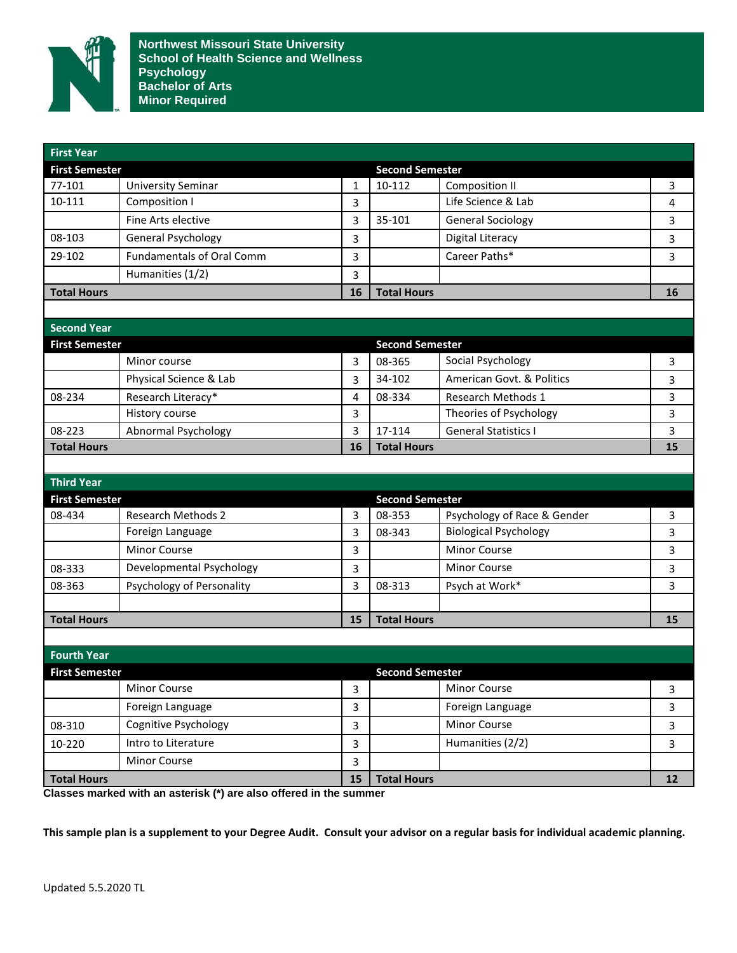

| <b>First Year</b>     |                                                                    |                |                        |                              |    |
|-----------------------|--------------------------------------------------------------------|----------------|------------------------|------------------------------|----|
| <b>First Semester</b> |                                                                    |                | <b>Second Semester</b> |                              |    |
| 77-101                | <b>University Seminar</b>                                          | 1              | 10-112                 | <b>Composition II</b>        | 3  |
| 10-111                | Composition I                                                      | 3              |                        | Life Science & Lab           | 4  |
|                       | Fine Arts elective                                                 | 3              | 35-101                 | <b>General Sociology</b>     | 3  |
| 08-103                | <b>General Psychology</b>                                          | 3              |                        | <b>Digital Literacy</b>      | 3  |
| 29-102                | <b>Fundamentals of Oral Comm</b>                                   | 3              |                        | Career Paths*                | 3  |
|                       | Humanities (1/2)                                                   | 3              |                        |                              |    |
| <b>Total Hours</b>    |                                                                    | 16             | <b>Total Hours</b>     |                              | 16 |
|                       |                                                                    |                |                        |                              |    |
| <b>Second Year</b>    |                                                                    |                |                        |                              |    |
| <b>First Semester</b> |                                                                    |                | <b>Second Semester</b> |                              |    |
|                       | Minor course                                                       | 3              | 08-365                 | Social Psychology            | 3  |
|                       | Physical Science & Lab                                             | 3              | 34-102                 | American Govt. & Politics    | 3  |
| 08-234                | Research Literacy*                                                 | 4              | 08-334                 | <b>Research Methods 1</b>    | 3  |
|                       | History course                                                     | 3              |                        | Theories of Psychology       | 3  |
| 08-223                | <b>Abnormal Psychology</b>                                         | 3              | 17-114                 | <b>General Statistics I</b>  | 3  |
| <b>Total Hours</b>    |                                                                    | 16             | <b>Total Hours</b>     |                              | 15 |
|                       |                                                                    |                |                        |                              |    |
| <b>Third Year</b>     |                                                                    |                |                        |                              |    |
| <b>First Semester</b> |                                                                    |                | <b>Second Semester</b> |                              |    |
| 08-434                | <b>Research Methods 2</b>                                          | 3              | 08-353                 | Psychology of Race & Gender  | 3  |
|                       | Foreign Language                                                   | 3              | 08-343                 | <b>Biological Psychology</b> | 3  |
|                       | <b>Minor Course</b>                                                | 3              |                        | <b>Minor Course</b>          | 3  |
| 08-333                | Developmental Psychology                                           | 3              |                        | <b>Minor Course</b>          | 3  |
| 08-363                | Psychology of Personality                                          | 3              | 08-313                 | Psych at Work*               | 3  |
|                       |                                                                    |                |                        |                              |    |
| <b>Total Hours</b>    |                                                                    | 15             | <b>Total Hours</b>     |                              | 15 |
|                       |                                                                    |                |                        |                              |    |
| <b>Fourth Year</b>    |                                                                    |                |                        |                              |    |
| <b>First Semester</b> |                                                                    |                | <b>Second Semester</b> |                              |    |
|                       | Minor Course                                                       | 3              |                        | Minor Course                 | 3  |
|                       | Foreign Language                                                   | 3              |                        | Foreign Language             | 3  |
| 08-310                | Cognitive Psychology                                               | $\overline{3}$ |                        | Minor Course                 | 3  |
| 10-220                | Intro to Literature                                                | 3              |                        | Humanities (2/2)             | 3  |
|                       | Minor Course                                                       | 3              |                        |                              |    |
| <b>Total Hours</b>    |                                                                    | 15             | <b>Total Hours</b>     |                              | 12 |
|                       | Classes marked with an asterisk (*) are also offered in the summer |                |                        |                              |    |

**This sample plan is a supplement to your Degree Audit. Consult your advisor on a regular basis for individual academic planning.**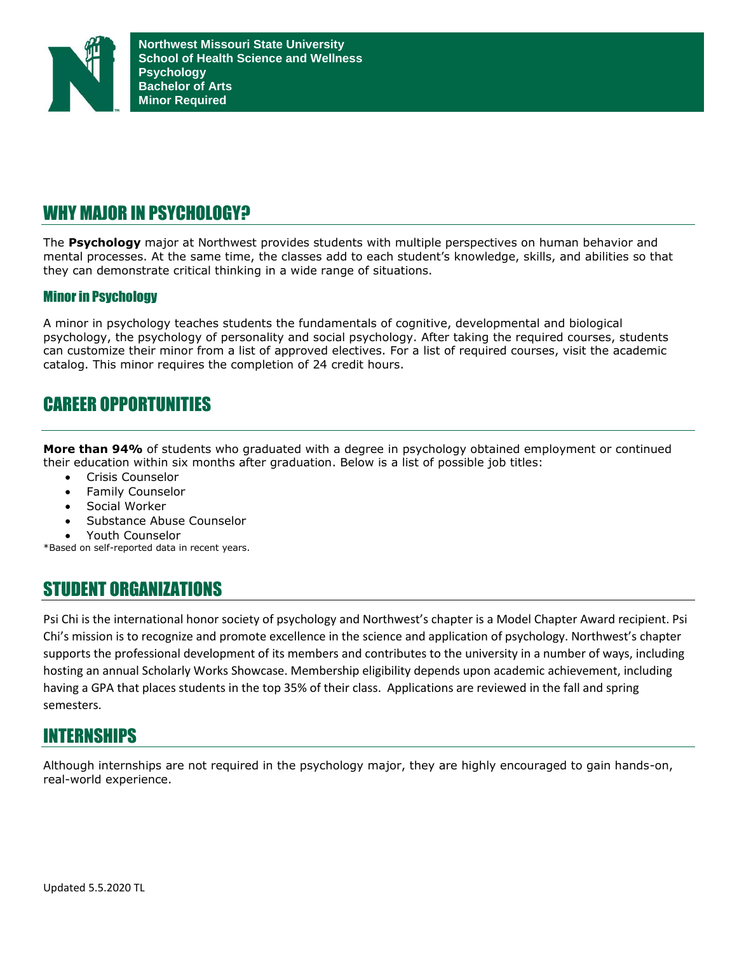# WHY MAJOR IN PSYCHOLOGY?

The **Psychology** major at Northwest provides students with multiple perspectives on human behavior and mental processes. At the same time, the classes add to each student's knowledge, skills, and abilities so that they can demonstrate critical thinking in a wide range of situations.

#### Minor in Psychology

A minor in psychology teaches students the fundamentals of cognitive, developmental and biological psychology, the psychology of personality and social psychology. After taking the required courses, students can customize their minor from a list of approved electives. For a list of required courses, visit the academic catalog. This minor requires the completion of 24 credit hours.

### CAREER OPPORTUNITIES**94**%

**More than 94%** of students who graduated with a degree in psychology obtained employment or continued their education within six months after graduation. Below is a list of possible job titles:

- Crisis Counselor
- Family Counselor
- Social Worker
- Substance Abuse Counselor
- Youth Counselor

\*Based on self-reported data in recent years.

## STUDENT ORGANIZATIONS

Psi Chi is the international honor society of psychology and Northwest's chapter is a Model Chapter Award recipient. Psi Chi's mission is to recognize and promote excellence in the science and application of psychology. Northwest's chapter supports the professional development of its members and contributes to the university in a number of ways, including hosting an annual Scholarly Works Showcase. Membership eligibility depends upon academic achievement, including having a GPA that places students in the top 35% of their class. Applications are reviewed in the fall and spring semesters.

#### INTERNSHIPS

Although internships are not required in the psychology major, they are highly encouraged to gain hands-on, real-world experience.